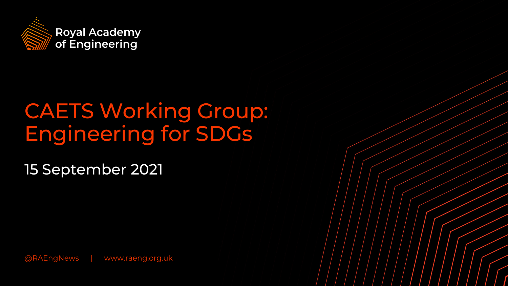

# CAETS Working Group: Engineering for SDGs

15 September 2021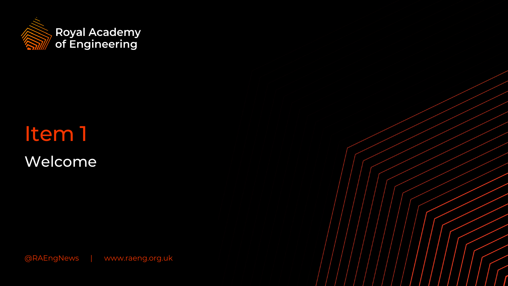

Welcome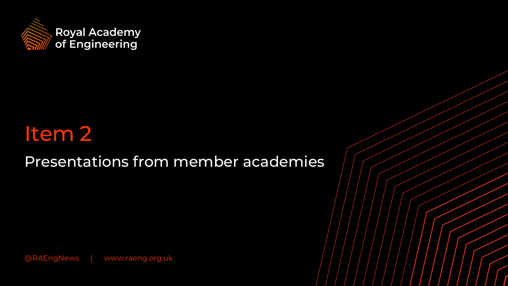

Presentations from member academies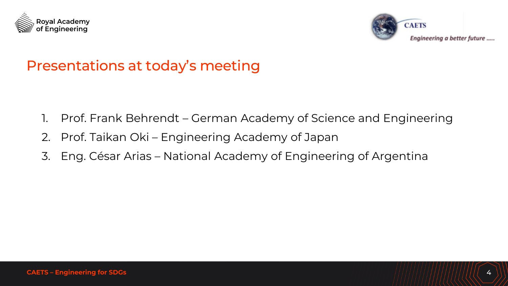



### Presentations at today's meeting

- 1. Prof. Frank Behrendt German Academy of Science and Engineering
- 2. Prof. Taikan Oki Engineering Academy of Japan
- 3. Eng. César Arias National Academy of Engineering of Argentina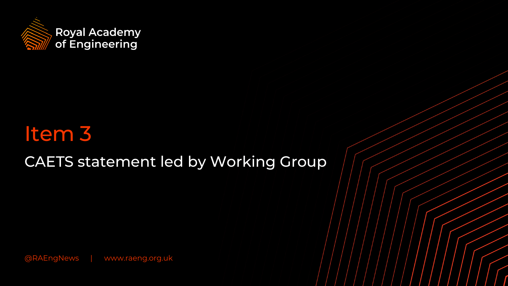

# CAETS statement led by Working Group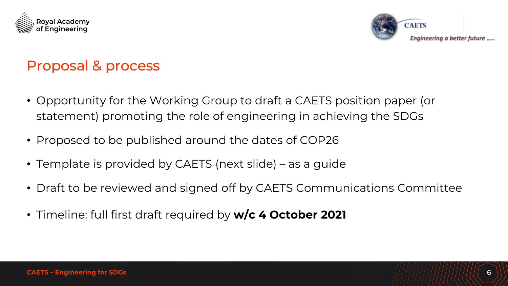



## Proposal & process

- Opportunity for the Working Group to draft a CAETS position paper (or statement) promoting the role of engineering in achieving the SDGs
- Proposed to be published around the dates of COP26
- Template is provided by CAETS (next slide) as a guide
- Draft to be reviewed and signed off by CAETS Communications Committee
- Timeline: full first draft required by **w/c 4 October 2021**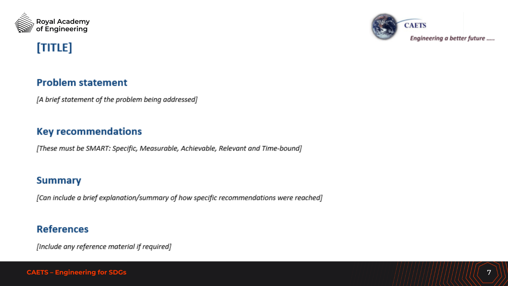



#### [TITLE]

#### **Problem statement**

[A brief statement of the problem being addressed]

#### **Key recommendations**

[These must be SMART: Specific, Measurable, Achievable, Relevant and Time-bound]

#### **Summary**

[Can include a brief explanation/summary of how specific recommendations were reached]

#### **References**

[Include any reference material if required]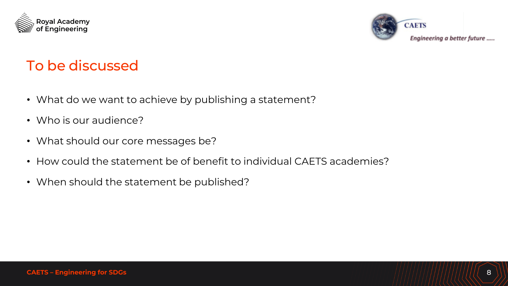



## To be discussed

- What do we want to achieve by publishing a statement?
- Who is our audience?
- What should our core messages be?
- How could the statement be of benefit to individual CAETS academies?
- When should the statement be published?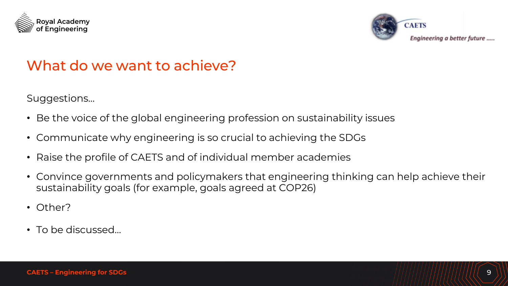



### What do we want to achieve?

Suggestions…

- Be the voice of the global engineering profession on sustainability issues
- Communicate why engineering is so crucial to achieving the SDGs
- Raise the profile of CAETS and of individual member academies
- Convince governments and policymakers that engineering thinking can help achieve their sustainability goals (for example, goals agreed at COP26)
- Other?
- To be discussed…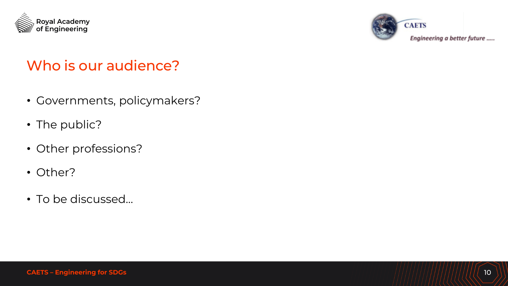



## Who is our audience?

- Governments, policymakers?
- The public?
- Other professions?
- Other?
- To be discussed…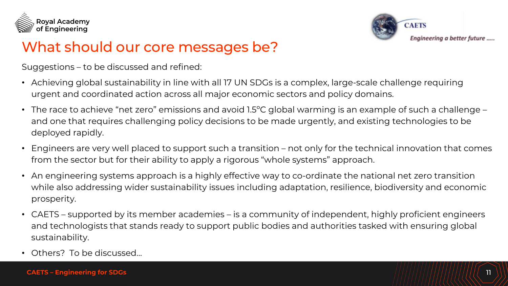



### What should our core messages be?

Suggestions – to be discussed and refined:

- Achieving global sustainability in line with all 17 UN SDGs is a complex, large-scale challenge requiring urgent and coordinated action across all major economic sectors and policy domains.
- The race to achieve "net zero" emissions and avoid 1.5ºC global warming is an example of such a challenge and one that requires challenging policy decisions to be made urgently, and existing technologies to be deployed rapidly.
- Engineers are very well placed to support such a transition not only for the technical innovation that comes from the sector but for their ability to apply a rigorous "whole systems" approach.
- An engineering systems approach is a highly effective way to co-ordinate the national net zero transition while also addressing wider sustainability issues including adaptation, resilience, biodiversity and economic prosperity.
- CAETS supported by its member academies is a community of independent, highly proficient engineers and technologists that stands ready to support public bodies and authorities tasked with ensuring global sustainability.
- Others? To be discussed…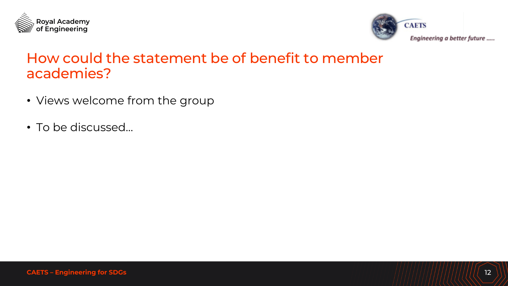



#### How could the statement be of benefit to member academies?

- Views welcome from the group
- To be discussed…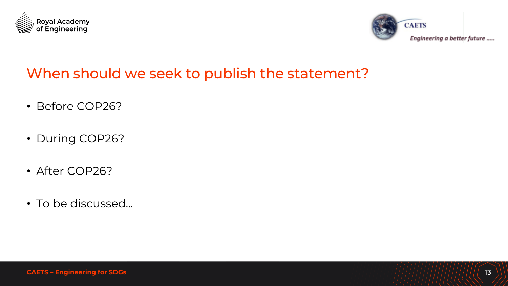



## When should we seek to publish the statement?

- Before COP26?
- During COP26?
- After COP26?
- To be discussed…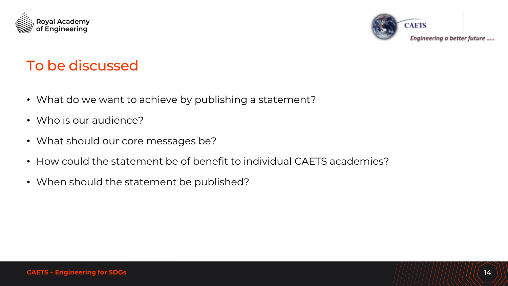



## To be discussed

- What do we want to achieve by publishing a statement?
- Who is our audience?
- What should our core messages be?
- How could the statement be of benefit to individual CAETS academies?
- When should the statement be published?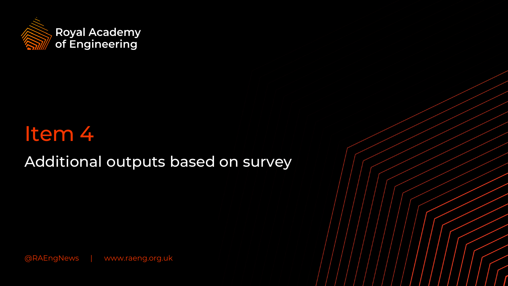

Additional outputs based on survey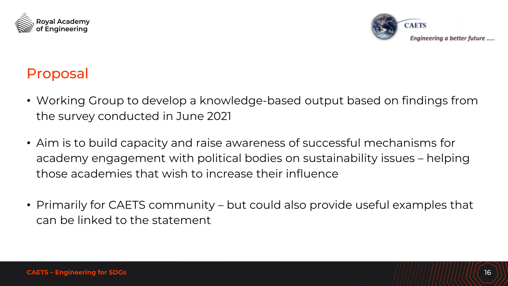



### Proposal

- Working Group to develop a knowledge-based output based on findings from the survey conducted in June 2021
- Aim is to build capacity and raise awareness of successful mechanisms for academy engagement with political bodies on sustainability issues – helping those academies that wish to increase their influence
- Primarily for CAETS community but could also provide useful examples that can be linked to the statement